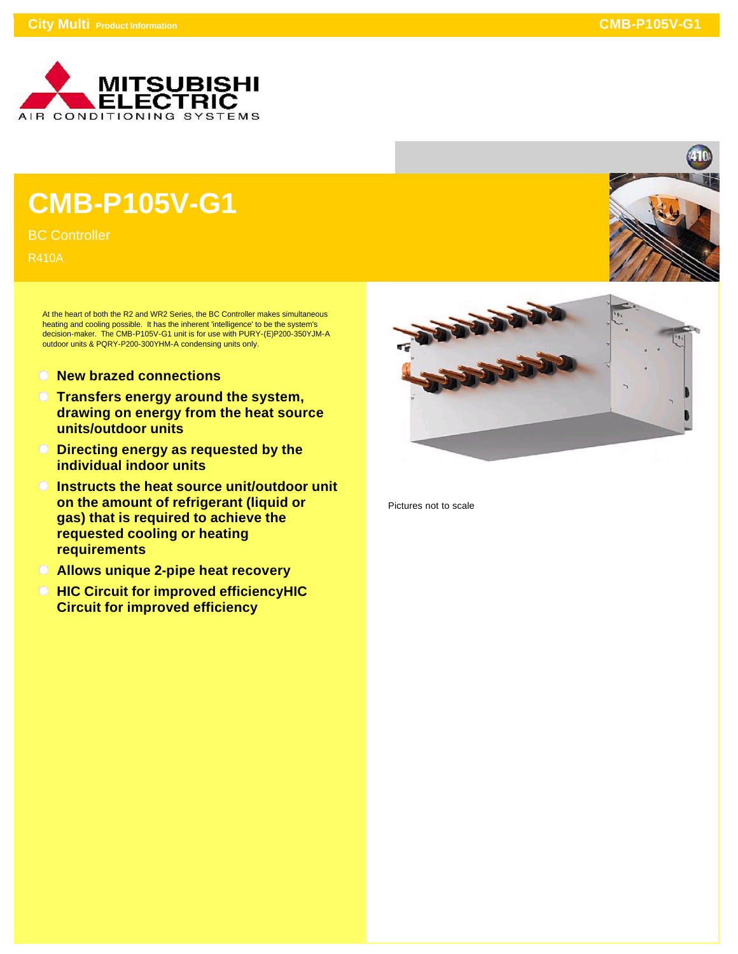

## **CMB-P105V-G1**

BC Controller

R410A

At the heart of both the R2 and WR2 Series, the BC Controller makes simultaneous heating and cooling possible. It has the inherent 'intelligence' to be the system's decision-maker. The CMB-P105V-G1 unit is for use with PURY-(E)P200-350YJM-A outdoor units & PQRY-P200-300YHM-A condensing units only.

- **New brazed connections**
- **Transfers energy around the system, drawing on energy from the heat source units/outdoor units**
- **Directing energy as requested by the individual indoor units**
- **Instructs the heat source unit/outdoor unit on the amount of refrigerant (liquid or gas) that is required to achieve the requested cooling or heating requirements**
- **Allows unique 2-pipe heat recovery**
- **HIC Circuit for improved efficiencyHIC Circuit for improved efficiency**



Pictures not to scale